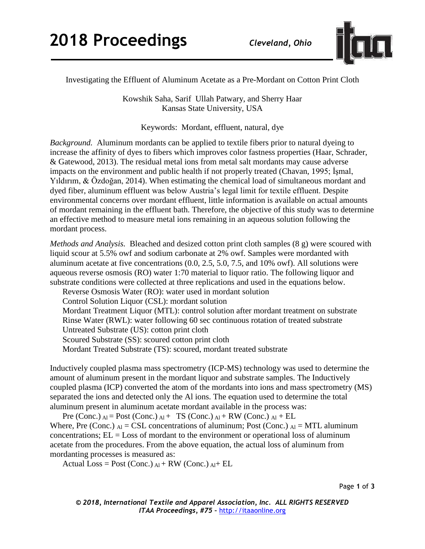

Investigating the Effluent of Aluminum Acetate as a Pre-Mordant on Cotton Print Cloth

Kowshik Saha, Sarif Ullah Patwary, and Sherry Haar Kansas State University, USA

Keywords: Mordant, effluent, natural, dye

*Background.*Aluminum mordants can be applied to textile fibers prior to natural dyeing to increase the affinity of dyes to fibers which improves color fastness properties (Haar, Schrader, & Gatewood, 2013). The residual metal ions from metal salt mordants may cause adverse impacts on the environment and public health if not properly treated (Chavan, 1995; İşmal, Yıldırım, & Özdoğan, 2014). When estimating the chemical load of simultaneous mordant and dyed fiber, aluminum effluent was below Austria's legal limit for textile effluent. Despite environmental concerns over mordant effluent, little information is available on actual amounts of mordant remaining in the effluent bath. Therefore, the objective of this study was to determine an effective method to measure metal ions remaining in an aqueous solution following the mordant process.

*Methods and Analysis.* Bleached and desized cotton print cloth samples (8 g) were scoured with liquid scour at 5.5% owf and sodium carbonate at 2% owf. Samples were mordanted with aluminum acetate at five concentrations (0.0, 2.5, 5.0, 7.5, and 10% owf). All solutions were aqueous reverse osmosis (RO) water 1:70 material to liquor ratio. The following liquor and substrate conditions were collected at three replications and used in the equations below.

Reverse Osmosis Water (RO): water used in mordant solution Control Solution Liquor (CSL): mordant solution Mordant Treatment Liquor (MTL): control solution after mordant treatment on substrate Rinse Water (RWL): water following 60 sec continuous rotation of treated substrate Untreated Substrate (US): cotton print cloth Scoured Substrate (SS): scoured cotton print cloth Mordant Treated Substrate (TS): scoured, mordant treated substrate

Inductively coupled plasma mass spectrometry (ICP-MS) technology was used to determine the amount of aluminum present in the mordant liquor and substrate samples. The Inductively coupled plasma (ICP) converted the atom of the mordants into ions and mass spectrometry (MS) separated the ions and detected only the Al ions. The equation used to determine the total aluminum present in aluminum acetate mordant available in the process was:

Pre (Conc.)  $_{\text{Al}}$  = Post (Conc.)  $_{\text{Al}}$  + TS (Conc.)  $_{\text{Al}}$  + RW (Conc.)  $_{\text{Al}}$  + EL Where, Pre (Conc.)  $_{\text{Al}} = \text{CSL}$  concentrations of aluminum; Post (Conc.)  $_{\text{Al}} = \text{MTL}$  aluminum concentrations;  $EL = Loss$  of mordant to the environment or operational loss of aluminum acetate from the procedures. From the above equation, the actual loss of aluminum from mordanting processes is measured as:

Actual Loss = Post (Conc.)  $_{Al}$  + RW (Conc.)  $_{Al}$  + EL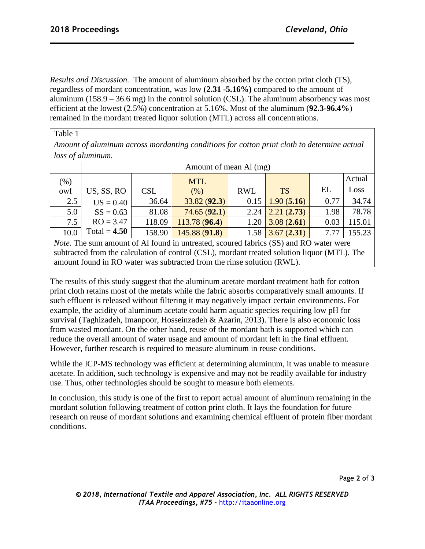*Results and Discussion.* The amount of aluminum absorbed by the cotton print cloth (TS), regardless of mordant concentration, was low (**2.31 -5.16%)** compared to the amount of aluminum  $(158.9 - 36.6 \text{ mg})$  in the control solution (CSL). The aluminum absorbency was most efficient at the lowest (2.5%) concentration at 5.16%. Most of the aluminum (**92.3-96.4%**) remained in the mordant treated liquor solution (MTL) across all concentrations.

Table 1

*Amount of aluminum across mordanting conditions for cotton print cloth to determine actual loss of aluminum.*

|         | Amount of mean Al (mg) |            |               |            |            |      |        |
|---------|------------------------|------------|---------------|------------|------------|------|--------|
| $(\% )$ |                        |            | <b>MTL</b>    |            |            |      | Actual |
| owf     | US, SS, RO             | <b>CSL</b> | (%)           | <b>RWL</b> | <b>TS</b>  | EL   | Loss   |
| 2.5     | $US = 0.40$            | 36.64      | 33.82(92.3)   | 0.15       | 1.90(5.16) | 0.77 | 34.74  |
| 5.0     | $SS = 0.63$            | 81.08      | 74.65(92.1)   | 2.24       | 2.21(2.73) | 1.98 | 78.78  |
| 7.5     | $RO = 3.47$            | 118.09     | 113.78 (96.4) | 1.20       | 3.08(2.61) | 0.03 | 115.01 |
| 10.0    | Total = $4.50$         | 158.90     | 145.88 (91.8) | 1.58       | 3.67(2.31) | 7.77 | 155.23 |

*Note*. The sum amount of Al found in untreated, scoured fabrics (SS) and RO water were subtracted from the calculation of control (CSL), mordant treated solution liquor (MTL). The amount found in RO water was subtracted from the rinse solution (RWL).

The results of this study suggest that the aluminum acetate mordant treatment bath for cotton print cloth retains most of the metals while the fabric absorbs comparatively small amounts. If such effluent is released without filtering it may negatively impact certain environments. For example, the acidity of aluminum acetate could harm aquatic species requiring low pH for survival (Taghizadeh, Imanpoor, Hosseinzadeh & Azarin, 2013). There is also economic loss from wasted mordant. On the other hand, reuse of the mordant bath is supported which can reduce the overall amount of water usage and amount of mordant left in the final effluent. However, further research is required to measure aluminum in reuse conditions.

While the ICP-MS technology was efficient at determining aluminum, it was unable to measure acetate. In addition, such technology is expensive and may not be readily available for industry use. Thus, other technologies should be sought to measure both elements.

In conclusion, this study is one of the first to report actual amount of aluminum remaining in the mordant solution following treatment of cotton print cloth. It lays the foundation for future research on reuse of mordant solutions and examining chemical effluent of protein fiber mordant conditions.

Page **2** of **3**